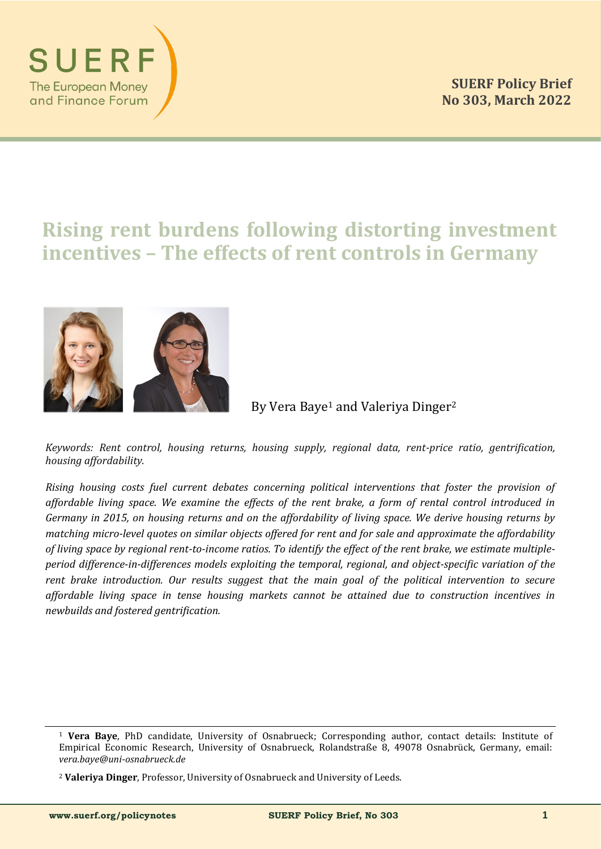

# **Rising rent burdens following distorting investment incentives – The effects of rent controls in Germany**



By Vera Baye<sup>1</sup> and Valeriya Dinger<sup>2</sup>

*Keywords: Rent control, housing returns, housing supply, regional data, rent-price ratio, gentrification, housing affordability.*

*Rising housing costs fuel current debates concerning political interventions that foster the provision of affordable living space. We examine the effects of the rent brake, a form of rental control introduced in Germany in 2015, on housing returns and on the affordability of living space. We derive housing returns by matching micro-level quotes on similar objects offered for rent and for sale and approximate the affordability of living space by regional rent-to-income ratios. To identify the effect of the rent brake, we estimate multipleperiod difference-in-differences models exploiting the temporal, regional, and object-specific variation of the rent brake introduction. Our results suggest that the main goal of the political intervention to secure affordable living space in tense housing markets cannot be attained due to construction incentives in newbuilds and fostered gentrification.*

<sup>1</sup> **Vera Baye**, PhD candidate, University of Osnabrueck; Corresponding author, contact details: Institute of Empirical Economic Research, University of Osnabrueck, Rolandstraße 8, 49078 Osnabrück, Germany, email: *vera.baye@uni-osnabrueck.de*

<sup>2</sup> **Valeriya Dinger**, Professor, University of Osnabrueck and University of Leeds.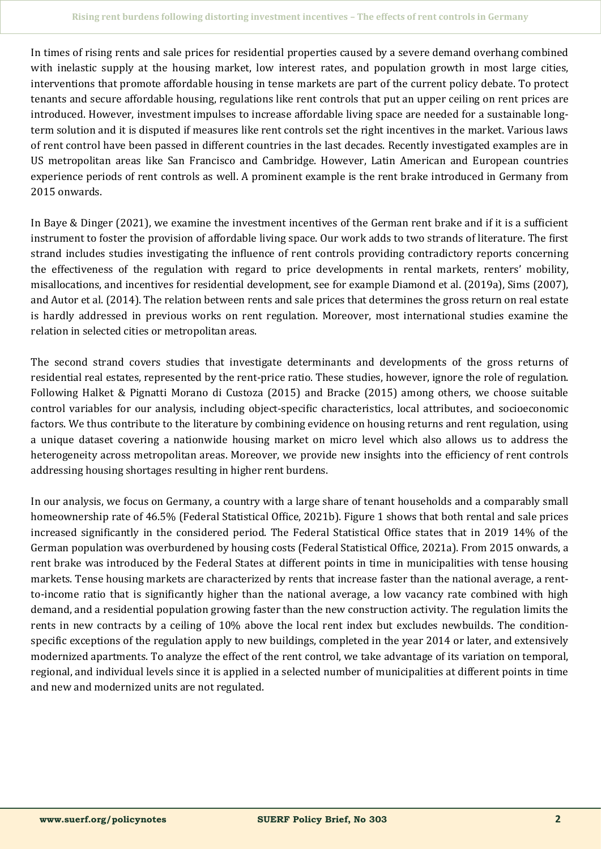In times of rising rents and sale prices for residential properties caused by a severe demand overhang combined with inelastic supply at the housing market, low interest rates, and population growth in most large cities, interventions that promote affordable housing in tense markets are part of the current policy debate. To protect tenants and secure affordable housing, regulations like rent controls that put an upper ceiling on rent prices are introduced. However, investment impulses to increase affordable living space are needed for a sustainable longterm solution and it is disputed if measures like rent controls set the right incentives in the market. Various laws of rent control have been passed in different countries in the last decades. Recently investigated examples are in US metropolitan areas like San Francisco and Cambridge. However, Latin American and European countries experience periods of rent controls as well. A prominent example is the rent brake introduced in Germany from 2015 onwards.

In Baye & Dinger (2021), we examine the investment incentives of the German rent brake and if it is a sufficient instrument to foster the provision of affordable living space. Our work adds to two strands of literature. The first strand includes studies investigating the influence of rent controls providing contradictory reports concerning the effectiveness of the regulation with regard to price developments in rental markets, renters' mobility, misallocations, and incentives for residential development, see for example Diamond et al. (2019a), Sims (2007), and Autor et al. (2014). The relation between rents and sale prices that determines the gross return on real estate is hardly addressed in previous works on rent regulation. Moreover, most international studies examine the relation in selected cities or metropolitan areas.

The second strand covers studies that investigate determinants and developments of the gross returns of residential real estates, represented by the rent-price ratio. These studies, however, ignore the role of regulation. Following Halket & Pignatti Morano di Custoza (2015) and Bracke (2015) among others, we choose suitable control variables for our analysis, including object-specific characteristics, local attributes, and socioeconomic factors. We thus contribute to the literature by combining evidence on housing returns and rent regulation, using a unique dataset covering a nationwide housing market on micro level which also allows us to address the heterogeneity across metropolitan areas. Moreover, we provide new insights into the efficiency of rent controls addressing housing shortages resulting in higher rent burdens.

In our analysis, we focus on Germany, a country with a large share of tenant households and a comparably small homeownership rate of 46.5% (Federal Statistical Office, 2021b). Figure 1 shows that both rental and sale prices increased significantly in the considered period. The Federal Statistical Office states that in 2019 14% of the German population was overburdened by housing costs (Federal Statistical Office, 2021a). From 2015 onwards, a rent brake was introduced by the Federal States at different points in time in municipalities with tense housing markets. Tense housing markets are characterized by rents that increase faster than the national average, a rentto-income ratio that is significantly higher than the national average, a low vacancy rate combined with high demand, and a residential population growing faster than the new construction activity. The regulation limits the rents in new contracts by a ceiling of 10% above the local rent index but excludes newbuilds. The conditionspecific exceptions of the regulation apply to new buildings, completed in the year 2014 or later, and extensively modernized apartments. To analyze the effect of the rent control, we take advantage of its variation on temporal, regional, and individual levels since it is applied in a selected number of municipalities at different points in time and new and modernized units are not regulated.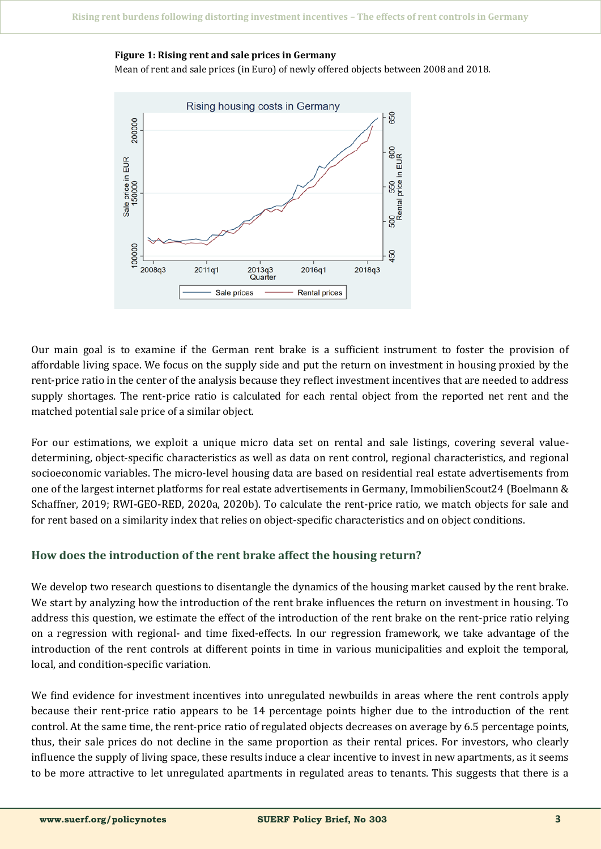## **Figure 1: Rising rent and sale prices in Germany**

Mean of rent and sale prices (in Euro) of newly offered objects between 2008 and 2018.



Our main goal is to examine if the German rent brake is a sufficient instrument to foster the provision of affordable living space. We focus on the supply side and put the return on investment in housing proxied by the rent-price ratio in the center of the analysis because they reflect investment incentives that are needed to address supply shortages. The rent-price ratio is calculated for each rental object from the reported net rent and the matched potential sale price of a similar object.

For our estimations, we exploit a unique micro data set on rental and sale listings, covering several valuedetermining, object-specific characteristics as well as data on rent control, regional characteristics, and regional socioeconomic variables. The micro-level housing data are based on residential real estate advertisements from one of the largest internet platforms for real estate advertisements in Germany, ImmobilienScout24 (Boelmann & Schaffner, 2019; RWI-GEO-RED, 2020a, 2020b). To calculate the rent-price ratio, we match objects for sale and for rent based on a similarity index that relies on object-specific characteristics and on object conditions.

# **How does the introduction of the rent brake affect the housing return?**

We develop two research questions to disentangle the dynamics of the housing market caused by the rent brake. We start by analyzing how the introduction of the rent brake influences the return on investment in housing. To address this question, we estimate the effect of the introduction of the rent brake on the rent-price ratio relying on a regression with regional- and time fixed-effects. In our regression framework, we take advantage of the introduction of the rent controls at different points in time in various municipalities and exploit the temporal, local, and condition-specific variation.

We find evidence for investment incentives into unregulated newbuilds in areas where the rent controls apply because their rent-price ratio appears to be 14 percentage points higher due to the introduction of the rent control. At the same time, the rent-price ratio of regulated objects decreases on average by 6.5 percentage points, thus, their sale prices do not decline in the same proportion as their rental prices. For investors, who clearly influence the supply of living space, these results induce a clear incentive to invest in new apartments, as it seems to be more attractive to let unregulated apartments in regulated areas to tenants. This suggests that there is a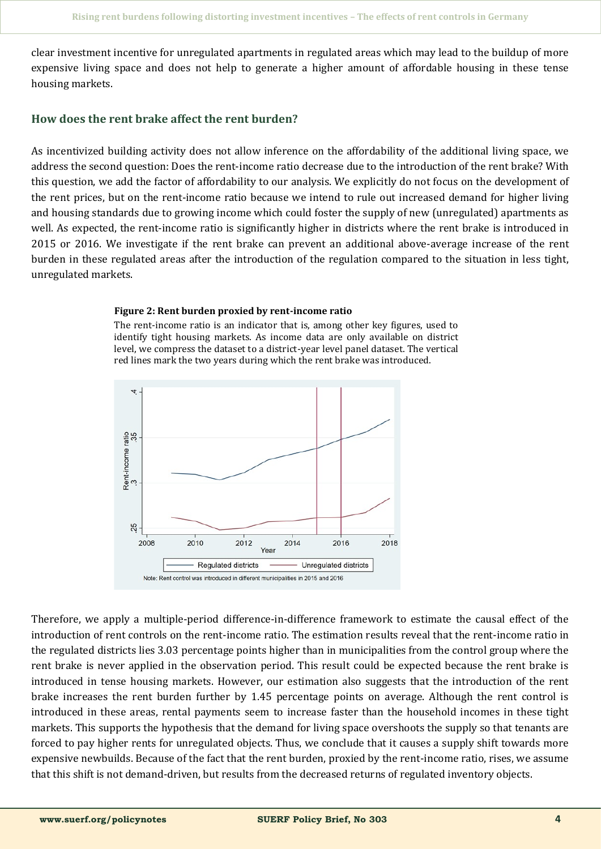clear investment incentive for unregulated apartments in regulated areas which may lead to the buildup of more expensive living space and does not help to generate a higher amount of affordable housing in these tense housing markets.

## **How does the rent brake affect the rent burden?**

As incentivized building activity does not allow inference on the affordability of the additional living space, we address the second question: Does the rent-income ratio decrease due to the introduction of the rent brake? With this question, we add the factor of affordability to our analysis. We explicitly do not focus on the development of the rent prices, but on the rent-income ratio because we intend to rule out increased demand for higher living and housing standards due to growing income which could foster the supply of new (unregulated) apartments as well. As expected, the rent-income ratio is significantly higher in districts where the rent brake is introduced in 2015 or 2016. We investigate if the rent brake can prevent an additional above-average increase of the rent burden in these regulated areas after the introduction of the regulation compared to the situation in less tight, unregulated markets.

#### **Figure 2: Rent burden proxied by rent-income ratio**

The rent-income ratio is an indicator that is, among other key figures, used to identify tight housing markets. As income data are only available on district level, we compress the dataset to a district-year level panel dataset. The vertical red lines mark the two years during which the rent brake was introduced.



Therefore, we apply a multiple-period difference-in-difference framework to estimate the causal effect of the introduction of rent controls on the rent-income ratio. The estimation results reveal that the rent-income ratio in the regulated districts lies 3.03 percentage points higher than in municipalities from the control group where the rent brake is never applied in the observation period. This result could be expected because the rent brake is introduced in tense housing markets. However, our estimation also suggests that the introduction of the rent brake increases the rent burden further by 1.45 percentage points on average. Although the rent control is introduced in these areas, rental payments seem to increase faster than the household incomes in these tight markets. This supports the hypothesis that the demand for living space overshoots the supply so that tenants are forced to pay higher rents for unregulated objects. Thus, we conclude that it causes a supply shift towards more expensive newbuilds. Because of the fact that the rent burden, proxied by the rent-income ratio, rises, we assume that this shift is not demand-driven, but results from the decreased returns of regulated inventory objects.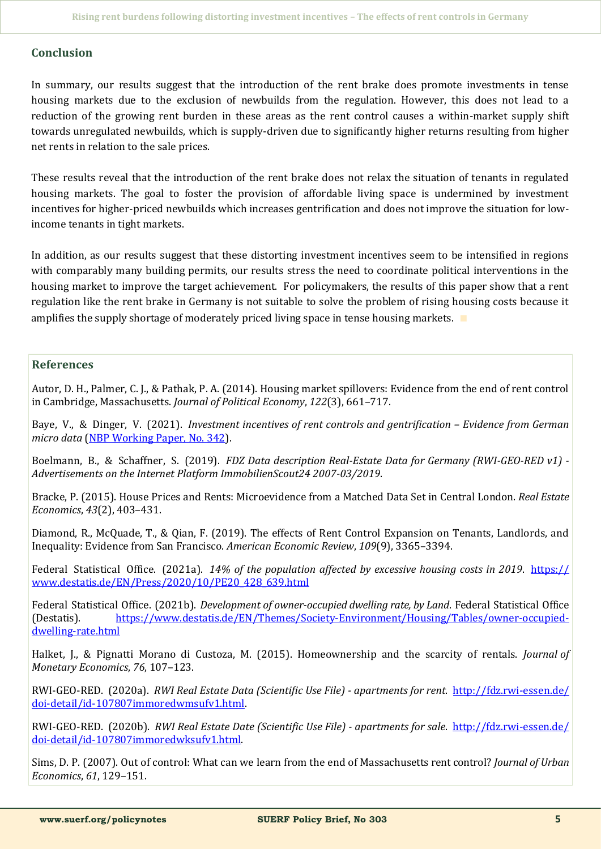# **Conclusion**

In summary, our results suggest that the introduction of the rent brake does promote investments in tense housing markets due to the exclusion of newbuilds from the regulation. However, this does not lead to a reduction of the growing rent burden in these areas as the rent control causes a within-market supply shift towards unregulated newbuilds, which is supply-driven due to significantly higher returns resulting from higher net rents in relation to the sale prices.

These results reveal that the introduction of the rent brake does not relax the situation of tenants in regulated housing markets. The goal to foster the provision of affordable living space is undermined by investment incentives for higher-priced newbuilds which increases gentrification and does not improve the situation for lowincome tenants in tight markets.

In addition, as our results suggest that these distorting investment incentives seem to be intensified in regions with comparably many building permits, our results stress the need to coordinate political interventions in the housing market to improve the target achievement. For policymakers, the results of this paper show that a rent regulation like the rent brake in Germany is not suitable to solve the problem of rising housing costs because it amplifies the supply shortage of moderately priced living space in tense housing markets. ∎

## **References**

Autor, D. H., Palmer, C. J., & Pathak, P. A. (2014). Housing market spillovers: Evidence from the end of rent control in Cambridge, Massachusetts. *Journal of Political Economy*, *122*(3), 661–717.

Baye, V., & Dinger, V. (2021). *Investment incentives of rent controls and gentrification – Evidence from German micro data* [\(NBP Working Paper, No. 342\).](https://www.nbp.pl/publikacje/materialy_i_studia/342_en.pdf)

Boelmann, B., & Schaffner, S. (2019). *FDZ Data description Real-Estate Data for Germany (RWI-GEO-RED v1) - Advertisements on the Internet Platform ImmobilienScout24 2007-03/2019*.

Bracke, P. (2015). House Prices and Rents: Microevidence from a Matched Data Set in Central London. *Real Estate Economics*, *43*(2), 403–431.

Diamond, R., McQuade, T., & Qian, F. (2019). The effects of Rent Control Expansion on Tenants, Landlords, and Inequality: Evidence from San Francisco. *American Economic Review*, *109*(9), 3365–3394.

Federal Statistical Office. (2021a). 14% of the population affected by excessive housing costs in 2019. [https://](https://www.destatis.de/EN/Press/2020/10/PE20_428_639.html) [www.destatis.de/EN/Press/2020/10/PE20\\_428\\_639.html](https://www.destatis.de/EN/Press/2020/10/PE20_428_639.html)

Federal Statistical Office. (2021b). *Development of owner-occupied dwelling rate, by Land*. Federal Statistical Office (Destatis). [https://www.destatis.de/EN/Themes/Society](https://www.destatis.de/EN/Themes/Society-Environment/Housing/Tables/owner-occupied-dwelling-rate.html)-Environment/Housing/Tables/owner-occupieddwelling-[rate.html](https://www.destatis.de/EN/Themes/Society-Environment/Housing/Tables/owner-occupied-dwelling-rate.html)

Halket, J., & Pignatti Morano di Custoza, M. (2015). Homeownership and the scarcity of rentals. *Journal of Monetary Economics*, *76*, 107–123.

RWI-GEO-RED. (2020a). *RWI Real Estate Data (Scientific Use File) - apartments for rent*. [http://fdz.rwi](https://www.destatis.de/EN/Themes/Society-Environment/Housing/Tables/owner-occupied-dwelling-rate.html)-essen.de/ doi-detail/id-[107807immoredwmsufv1.html.](https://www.destatis.de/EN/Themes/Society-Environment/Housing/Tables/owner-occupied-dwelling-rate.html)

RWI-GEO-RED. (2020b). *RWI Real Estate Date (Scientific Use File) - apartments for sale*. [http://fdz.rwi](http://fdz.rwi-essen.de/doi-detail/id-107807immoredwksufv1.html)-essen.de/ doi-detail/id-[107807immoredwksufv1.html.](http://fdz.rwi-essen.de/doi-detail/id-107807immoredwksufv1.html)

Sims, D. P. (2007). Out of control: What can we learn from the end of Massachusetts rent control? *Journal of Urban Economics*, *61*, 129–151.